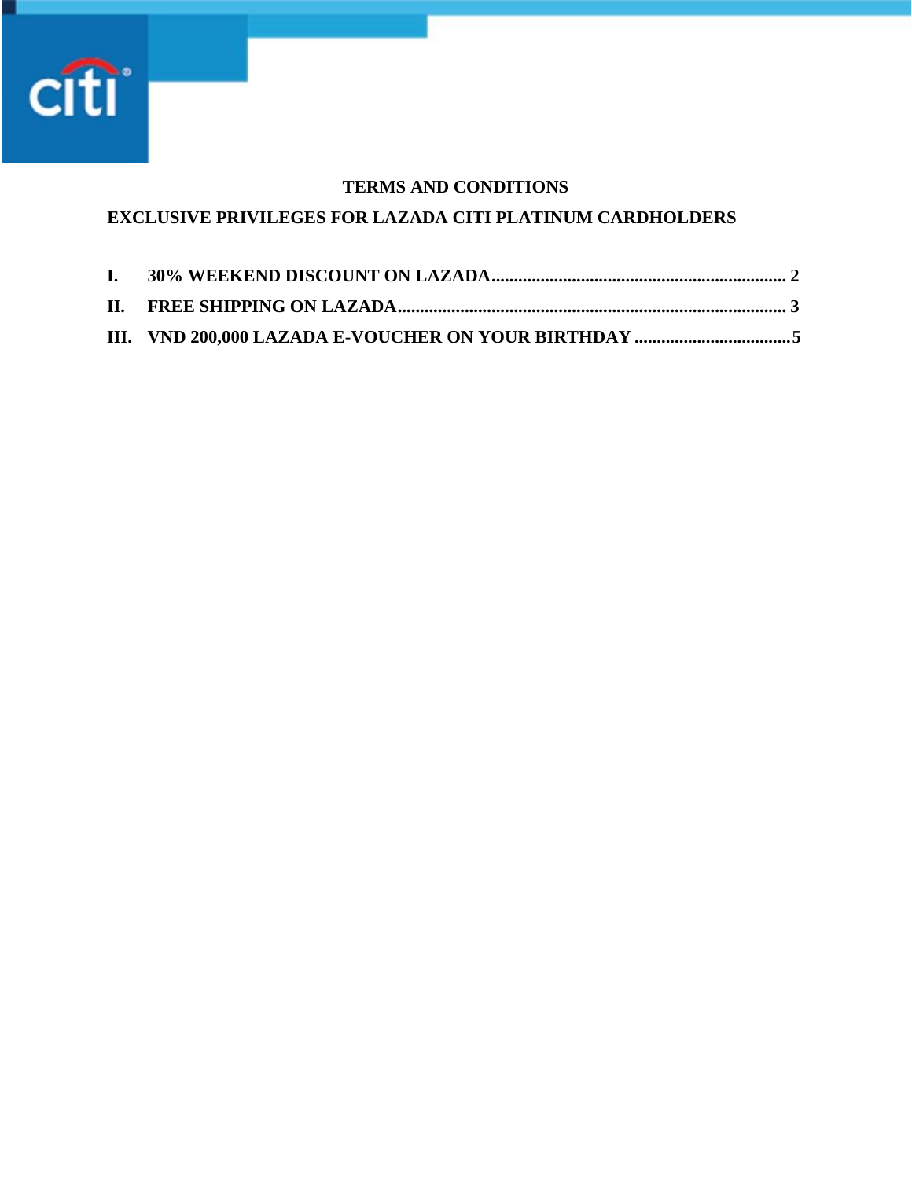

## **TERMS AND CONDITIONS**

# **EXCLUSIVE PRIVILEGES FOR LAZADA CITI PLATINUM CARDHOLDERS**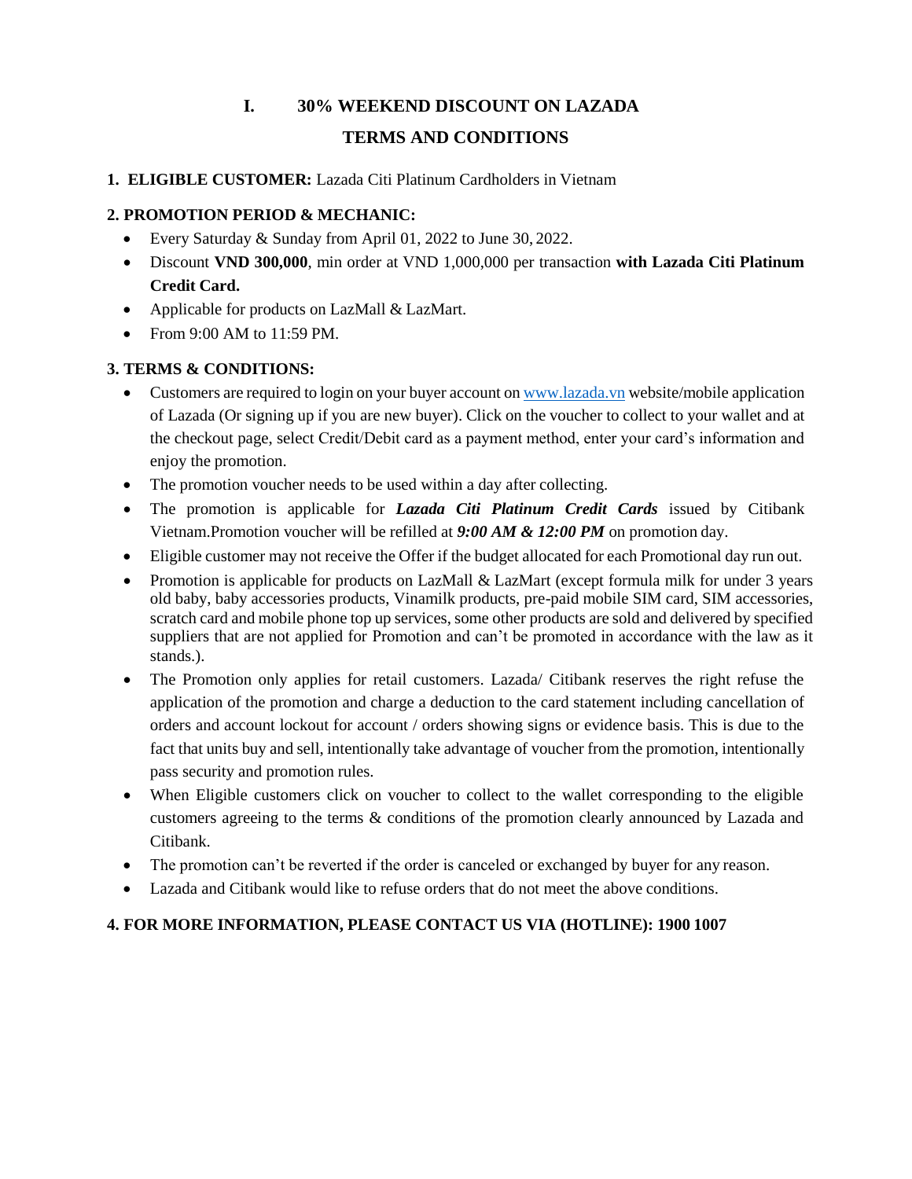# **I. 30% WEEKEND DISCOUNT ON LAZADA TERMS AND CONDITIONS**

#### **1. ELIGIBLE CUSTOMER:** Lazada Citi Platinum Cardholders in Vietnam

### **2. PROMOTION PERIOD & MECHANIC:**

- Every Saturday & Sunday from April 01, 2022 to June 30, 2022.
- Discount **VND 300,000**, min order at VND 1,000,000 per transaction **with Lazada Citi Platinum Credit Card.**
- Applicable for products on LazMall & LazMart.
- From 9:00 AM to 11:59 PM.

## **3. TERMS & CONDITIONS:**

- Customers are required to login on your buyer account on  $\frac{www.lazada.vn}{www.lazada.vn}$  $\frac{www.lazada.vn}{www.lazada.vn}$  $\frac{www.lazada.vn}{www.lazada.vn}$  website/mobile application of Lazada (Or signing up if you are new buyer). Click on the voucher to collect to your wallet and at the checkout page, select Credit/Debit card as a payment method, enter your card's information and enjoy the promotion.
- The promotion voucher needs to be used within a day after collecting.
- The promotion is applicable for *Lazada Citi Platinum Credit Cards* issued by Citibank Vietnam.Promotion voucher will be refilled at *9:00 AM & 12:00 PM* on promotion day.
- Eligible customer may not receive the Offer if the budget allocated for each Promotional day run out.
- Promotion is applicable for products on LazMall & LazMart (except formula milk for under 3 years old baby, baby accessories products, Vinamilk products, pre-paid mobile SIM card, SIM accessories, scratch card and mobile phone top up services, some other products are sold and delivered by specified suppliers that are not applied for Promotion and can't be promoted in accordance with the law as it stands.).
- The Promotion only applies for retail customers. Lazada/ Citibank reserves the right refuse the application of the promotion and charge a deduction to the card statement including cancellation of orders and account lockout for account / orders showing signs or evidence basis. This is due to the fact that units buy and sell, intentionally take advantage of voucher from the promotion, intentionally pass security and promotion rules.
- When Eligible customers click on voucher to collect to the wallet corresponding to the eligible customers agreeing to the terms & conditions of the promotion clearly announced by Lazada and Citibank.
- The promotion can't be reverted if the order is canceled or exchanged by buyer for any reason.
- Lazada and Citibank would like to refuse orders that do not meet the above conditions.

# **4. FOR MORE INFORMATION, PLEASE CONTACT US VIA (HOTLINE): 1900 1007**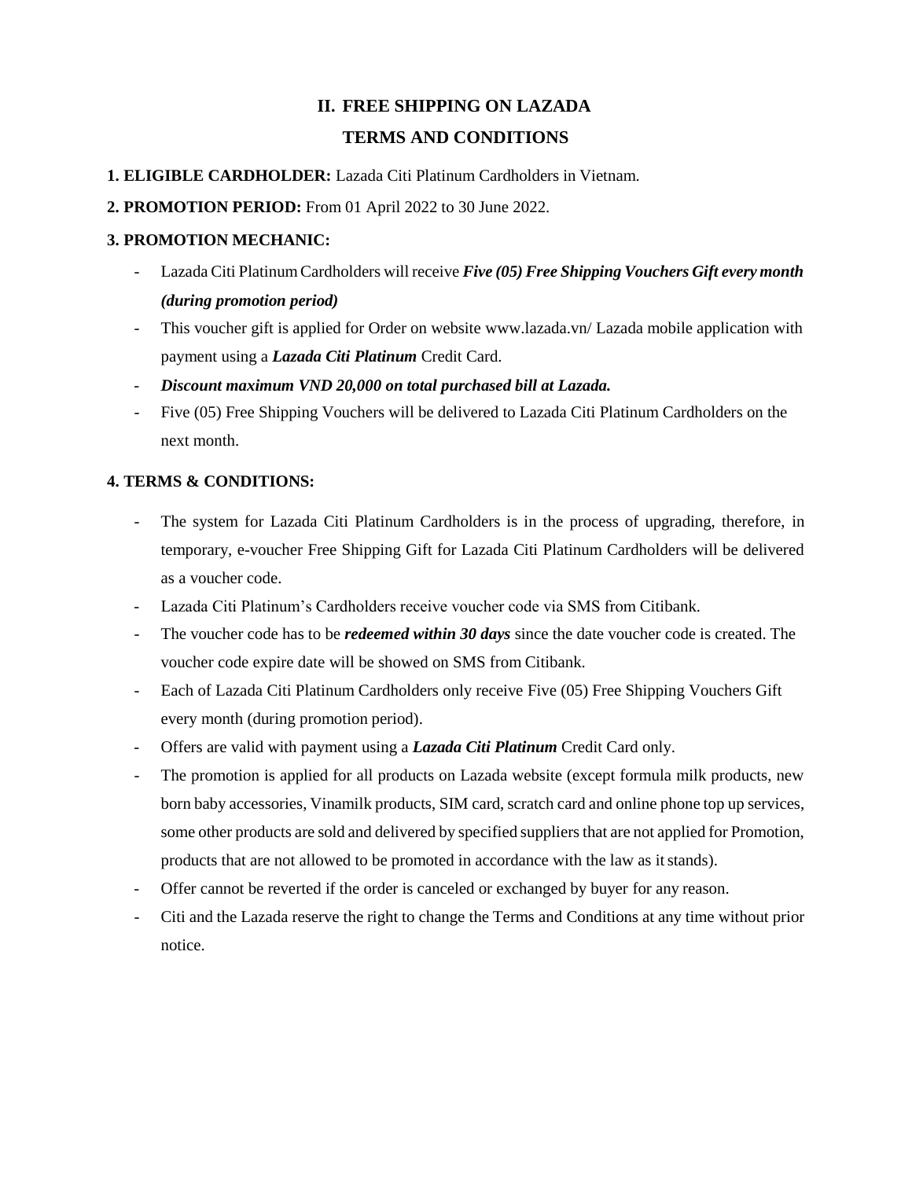# **II. FREE SHIPPING ON LAZADA TERMS AND CONDITIONS**

- **1. ELIGIBLE CARDHOLDER:** Lazada Citi Platinum Cardholders in Vietnam.
- **2. PROMOTION PERIOD:** From 01 April 2022 to 30 June 2022.

#### **3. PROMOTION MECHANIC:**

- Lazada Citi PlatinumCardholders will receive *Five (05) Free Shipping Vouchers Gift every month (during promotion period)*
- This voucher gift is applied for Order on website [www.lazada.vn/ L](http://www.lazada.vn/)azada mobile application with payment using a *Lazada Citi Platinum* Credit Card.
- *Discount maximum VND 20,000 on total purchased bill at Lazada.*
- Five (05) Free Shipping Vouchers will be delivered to Lazada Citi Platinum Cardholders on the next month.

## **4. TERMS & CONDITIONS:**

- The system for Lazada Citi Platinum Cardholders is in the process of upgrading, therefore, in temporary, e-voucher Free Shipping Gift for Lazada Citi Platinum Cardholders will be delivered as a voucher code.
- Lazada Citi Platinum's Cardholders receive voucher code via SMS from Citibank.
- The voucher code has to be *redeemed within 30 days* since the date voucher code is created. The voucher code expire date will be showed on SMS from Citibank.
- Each of Lazada Citi Platinum Cardholders only receive Five (05) Free Shipping Vouchers Gift every month (during promotion period).
- Offers are valid with payment using a *Lazada Citi Platinum* Credit Card only.
- The promotion is applied for all products on Lazada website (except formula milk products, new born baby accessories, Vinamilk products, SIM card, scratch card and online phone top up services, some other products are sold and delivered by specified suppliers that are not applied for Promotion, products that are not allowed to be promoted in accordance with the law as itstands).
- Offer cannot be reverted if the order is canceled or exchanged by buyer for any reason.
- Citi and the Lazada reserve the right to change the Terms and Conditions at any time without prior notice.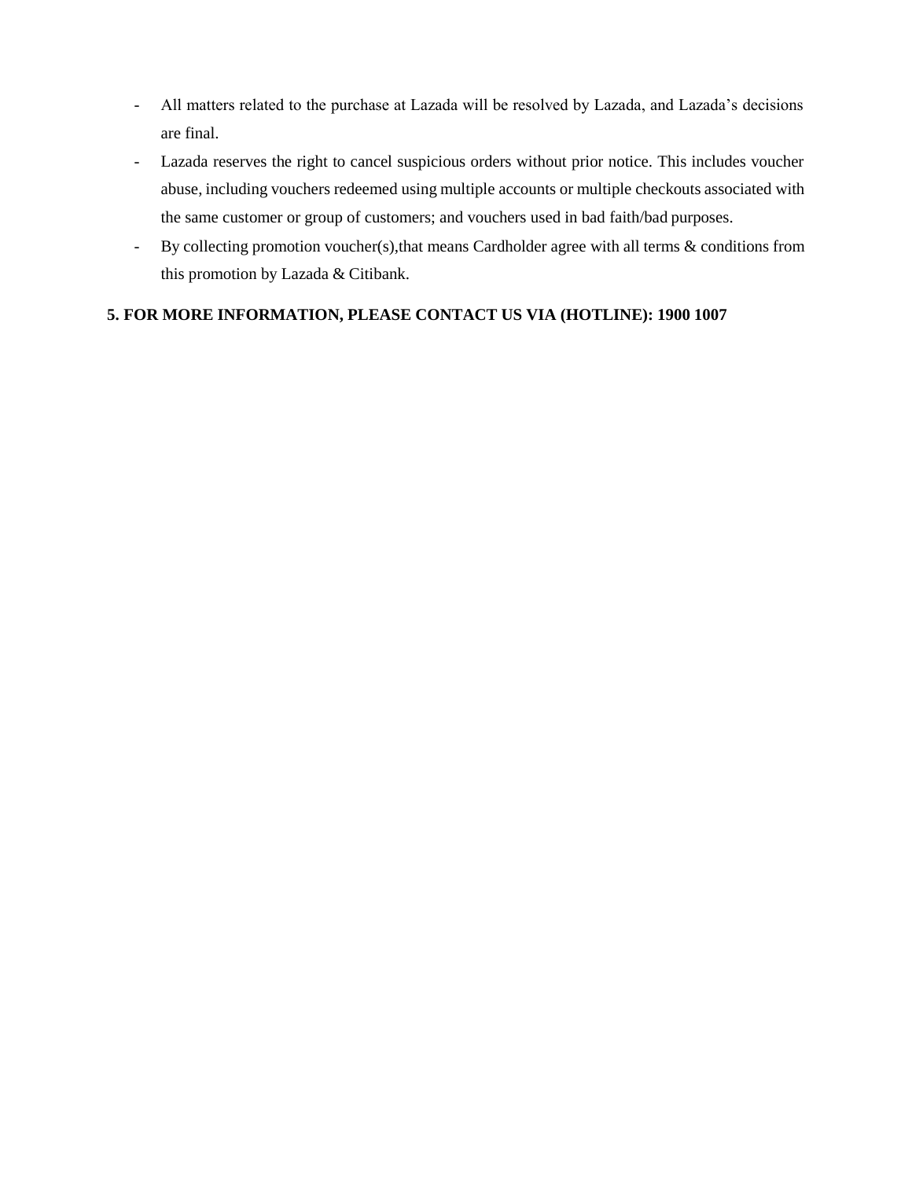- All matters related to the purchase at Lazada will be resolved by Lazada, and Lazada's decisions are final.
- Lazada reserves the right to cancel suspicious orders without prior notice. This includes voucher abuse, including vouchers redeemed using multiple accounts or multiple checkouts associated with the same customer or group of customers; and vouchers used in bad faith/bad purposes.
- By collecting promotion voucher(s),that means Cardholder agree with all terms & conditions from this promotion by Lazada & Citibank.

## **5. FOR MORE INFORMATION, PLEASE CONTACT US VIA (HOTLINE): 1900 1007**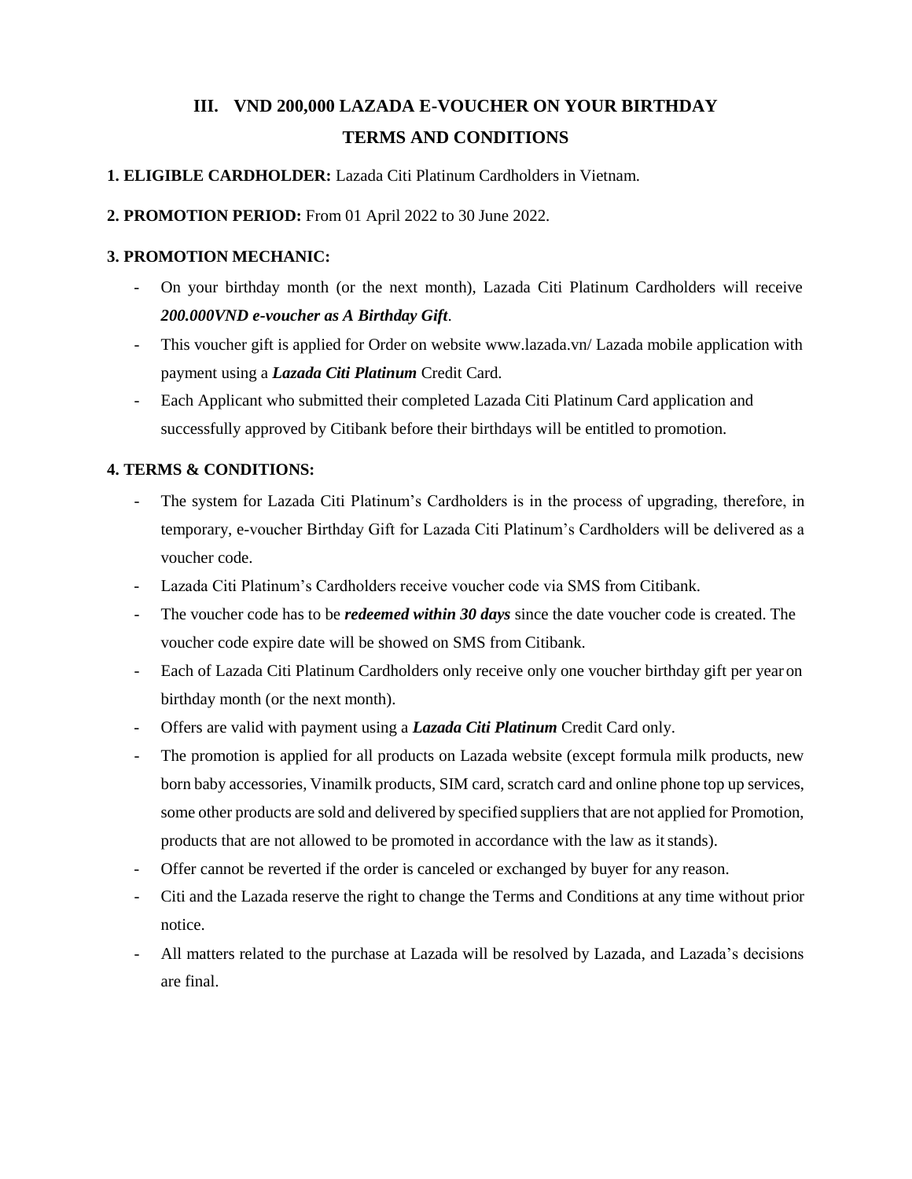# **III. VND 200,000 LAZADA E-VOUCHER ON YOUR BIRTHDAY TERMS AND CONDITIONS**

#### **1. ELIGIBLE CARDHOLDER:** Lazada Citi Platinum Cardholders in Vietnam.

**2. PROMOTION PERIOD:** From 01 April 2022 to 30 June 2022.

#### **3. PROMOTION MECHANIC:**

- On your birthday month (or the next month), Lazada Citi Platinum Cardholders will receive *200.000VND e-voucher as A Birthday Gift*.
- This voucher gift is applied for Order on website [www.lazada.vn/ L](http://www.lazada.vn/)azada mobile application with payment using a *Lazada Citi Platinum* Credit Card.
- Each Applicant who submitted their completed Lazada Citi Platinum Card application and successfully approved by Citibank before their birthdays will be entitled to promotion.

## **4. TERMS & CONDITIONS:**

- The system for Lazada Citi Platinum's Cardholders is in the process of upgrading, therefore, in temporary, e-voucher Birthday Gift for Lazada Citi Platinum's Cardholders will be delivered as a voucher code.
- Lazada Citi Platinum's Cardholders receive voucher code via SMS from Citibank.
- The voucher code has to be *redeemed within 30 days* since the date voucher code is created. The voucher code expire date will be showed on SMS from Citibank.
- Each of Lazada Citi Platinum Cardholders only receive only one voucher birthday gift per year on birthday month (or the next month).
- Offers are valid with payment using a *Lazada Citi Platinum* Credit Card only.
- The promotion is applied for all products on Lazada website (except formula milk products, new born baby accessories, Vinamilk products, SIM card, scratch card and online phone top up services, some other products are sold and delivered by specified suppliers that are not applied for Promotion, products that are not allowed to be promoted in accordance with the law as itstands).
- Offer cannot be reverted if the order is canceled or exchanged by buyer for any reason.
- Citi and the Lazada reserve the right to change the Terms and Conditions at any time without prior notice.
- All matters related to the purchase at Lazada will be resolved by Lazada, and Lazada's decisions are final.